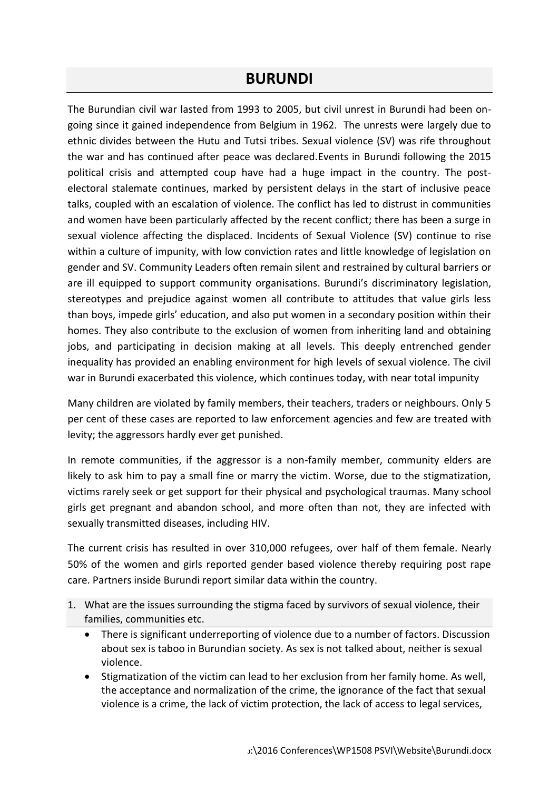## **BURUNDI**

The Burundian civil war lasted from 1993 to 2005, but civil unrest in Burundi had been ongoing since it gained independence from Belgium in 1962. The unrests were largely due to ethnic divides between the Hutu and Tutsi tribes. Sexual violence (SV) was rife throughout the war and has continued after peace was declared.Events in Burundi following the 2015 political crisis and attempted coup have had a huge impact in the country. The postelectoral stalemate continues, marked by persistent delays in the start of inclusive peace talks, coupled with an escalation of violence. The conflict has led to distrust in communities and women have been particularly affected by the recent conflict; there has been a surge in sexual violence affecting the displaced. Incidents of Sexual Violence (SV) continue to rise within a culture of impunity, with low conviction rates and little knowledge of legislation on gender and SV. Community Leaders often remain silent and restrained by cultural barriers or are ill equipped to support community organisations. Burundi's discriminatory legislation, stereotypes and prejudice against women all contribute to attitudes that value girls less than boys, impede girls' education, and also put women in a secondary position within their homes. They also contribute to the exclusion of women from inheriting land and obtaining jobs, and participating in decision making at all levels. This deeply entrenched gender inequality has provided an enabling environment for high levels of sexual violence. The civil war in Burundi exacerbated this violence, which continues today, with near total impunity

Many children are violated by family members, their teachers, traders or neighbours. Only 5 per cent of these cases are reported to law enforcement agencies and few are treated with levity; the aggressors hardly ever get punished.

In remote communities, if the aggressor is a non-family member, community elders are likely to ask him to pay a small fine or marry the victim. Worse, due to the stigmatization, victims rarely seek or get support for their physical and psychological traumas. Many school girls get pregnant and abandon school, and more often than not, they are infected with sexually transmitted diseases, including HIV.

The current crisis has resulted in over 310,000 refugees, over half of them female. Nearly 50% of the women and girls reported gender based violence thereby requiring post rape care. Partners inside Burundi report similar data within the country.

- 1. What are the issues surrounding the stigma faced by survivors of sexual violence, their families, communities etc.
	- There is significant underreporting of violence due to a number of factors. Discussion about sex is taboo in Burundian society. As sex is not talked about, neither is sexual violence.
	- Stigmatization of the victim can lead to her exclusion from her family home. As well, the acceptance and normalization of the crime, the ignorance of the fact that sexual violence is a crime, the lack of victim protection, the lack of access to legal services,